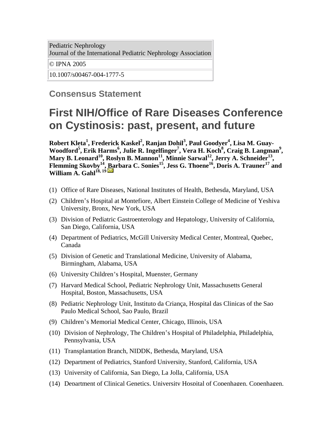Pediatric Nephrology Journal of the International Pediatric Nephrology Association

© IPNA 2005

10.1007/s00467-004-1777-5

## **Consensus Statement**

# **First NIH/Office of Rare Diseases Conference on Cystinosis: past, present, and future**

**Robert Kleta1 , Frederick Kaskel<sup>2</sup> , Ranjan Dohil<sup>3</sup> , Paul Goodyer<sup>4</sup> , Lisa M. Guay-**Woodford<sup>5</sup>, Erik Harms<sup>6</sup>, Julie R. Ingelfinger<sup>7</sup>, Vera H. Koch<sup>8</sup>, Craig B. Langman<sup>9</sup>, Mary B. Leonard<sup>10</sup>, Roslyn B. Mannon<sup>11</sup>, Minnie Sarwal<sup>12</sup>, Jerry A. Schneider<sup>13</sup>, Flemming Skovby<sup>14</sup>, Barbara C. Sonies<sup>15</sup>, Jess G. Thoene<sup>16</sup>, Doris A. Trauner<sup>17</sup> and **William A. Gahl18, 19** 

- (1) Office of Rare Diseases, National Institutes of Health, Bethesda, Maryland, USA
- (2) Children's Hospital at Montefiore, Albert Einstein College of Medicine of Yeshiva University, Bronx, New York, USA
- (3) Division of Pediatric Gastroenterology and Hepatology, University of California, San Diego, California, USA
- (4) Department of Pediatrics, McGill University Medical Center, Montreal, Quebec, Canada
- (5) Division of Genetic and Translational Medicine, University of Alabama, Birmingham, Alabama, USA
- $(6)$  University Children<sup>\*</sup>s Hospital, Muenster, Germany
- (7) Harvard Medical School, Pediatric Nephrology Unit, Massachusetts General Hospital, Boston, Massachusetts, USA
- (8) Pediatric Nephrology Unit, Instituto da Criança, Hospital das Clinicas of the Sao Paulo Medical School, Sao Paulo, Brazil
- (9) Children<sup>®</sup>s Memorial Medical Center, Chicago, Illinois, USA
- (10) Division of Nephrology, The Children's Hospital of Philadelphia, Philadelphia, Pennsylvania, USA
- (11) Transplantation Branch, NIDDK, Bethesda, Maryland, USA
- (12) Department of Pediatrics, Stanford University, Stanford, California, USA
- (13) University of California, San Diego, La Jolla, California, USA
- (14) Department of Clinical Genetics, University Hospital of Copenhagen, Copenhagen,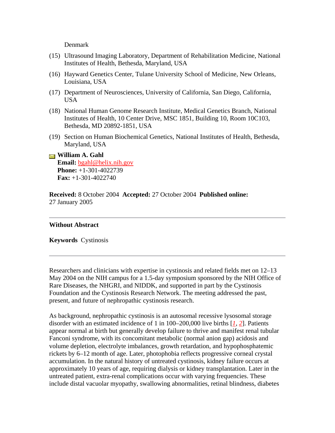Denmark

- (15) Ultrasound Imaging Laboratory, Department of Rehabilitation Medicine, National Institutes of Health, Bethesda, Maryland, USA
- (16) Hayward Genetics Center, Tulane University School of Medicine, New Orleans, Louisiana, USA
- (17) Department of Neurosciences, University of California, San Diego, California, USA
- (18) National Human Genome Research Institute, Medical Genetics Branch, National Institutes of Health, 10 Center Drive, MSC 1851, Building 10, Room 10C103, Bethesda, MD 20892-1851, USA
- (19) Section on Human Biochemical Genetics, National Institutes of Health, Bethesda, Maryland, USA

### **M** William A. Gahl **Email:** bgahl@helix.nih.gov **Phone:** +1-301-4022739 **Fax:** +1-301-4022740

**Received:** 8 October 2004 **Accepted:** 27 October 2004 **Published online:**  27 January 2005

#### **Without Abstract**

**Keywords** Cystinosis

Researchers and clinicians with expertise in cystinosis and related fields met on 12–13 May 2004 on the NIH campus for a 1.5-day symposium sponsored by the NIH Office of Rare Diseases, the NHGRI, and NIDDK, and supported in part by the Cystinosis Foundation and the Cystinosis Research Network. The meeting addressed the past, present, and future of nephropathic cystinosis research.

As background, nephropathic cystinosis is an autosomal recessive lysosomal storage disorder with an estimated incidence of 1 in 100–200,000 live births [*1*, *2*]. Patients appear normal at birth but generally develop failure to thrive and manifest renal tubular Fanconi syndrome, with its concomitant metabolic (normal anion gap) acidosis and volume depletion, electrolyte imbalances, growth retardation, and hypophosphatemic rickets by 6–12 month of age. Later, photophobia reflects progressive corneal crystal accumulation. In the natural history of untreated cystinosis, kidney failure occurs at approximately 10 years of age, requiring dialysis or kidney transplantation. Later in the untreated patient, extra-renal complications occur with varying frequencies. These include distal vacuolar myopathy, swallowing abnormalities, retinal blindness, diabetes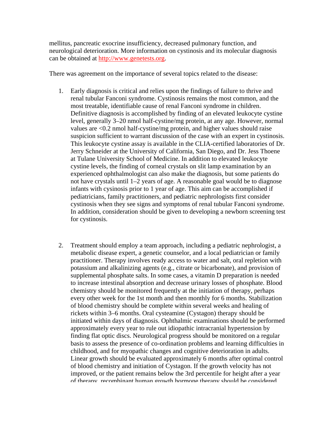mellitus, pancreatic exocrine insufficiency, decreased pulmonary function, and neurological deterioration. More information on cystinosis and its molecular diagnosis can be obtained at http://www.genetests.org.

There was agreement on the importance of several topics related to the disease:

- 1. Early diagnosis is critical and relies upon the findings of failure to thrive and renal tubular Fanconi syndrome. Cystinosis remains the most common, and the most treatable, identifiable cause of renal Fanconi syndrome in children. Definitive diagnosis is accomplished by finding of an elevated leukocyte cystine level, generally 3–20 nmol half-cystine/mg protein, at any age. However, normal values are <0.2 nmol half-cystine/mg protein, and higher values should raise suspicion sufficient to warrant discussion of the case with an expert in cystinosis. This leukocyte cystine assay is available in the CLIA-certified laboratories of Dr. Jerry Schneider at the University of California, San Diego, and Dr. Jess Thoene at Tulane University School of Medicine. In addition to elevated leukocyte cystine levels, the finding of corneal crystals on slit lamp examination by an experienced ophthalmologist can also make the diagnosis, but some patients do not have crystals until 1–2 years of age. A reasonable goal would be to diagnose infants with cysinosis prior to 1 year of age. This aim can be accomplished if pediatricians, family practitioners, and pediatric nephrologists first consider cystinosis when they see signs and symptoms of renal tubular Fanconi syndrome. In addition, consideration should be given to developing a newborn screening test for cystinosis.
- 2. Treatment should employ a team approach, including a pediatric nephrologist, a metabolic disease expert, a genetic counselor, and a local pediatrician or family practitioner. Therapy involves ready access to water and salt, oral repletion with potassium and alkalinizing agents (e.g., citrate or bicarbonate), and provision of supplemental phosphate salts. In some cases, a vitamin D preparation is needed to increase intestinal absorption and decrease urinary losses of phosphate. Blood chemistry should be monitored frequently at the initiation of therapy, perhaps every other week for the 1st month and then monthly for 6 months. Stabilization of blood chemistry should be complete within several weeks and healing of rickets within 3–6 months. Oral cysteamine (Cystagon) therapy should be initiated within days of diagnosis. Ophthalmic examinations should be performed approximately every year to rule out idiopathic intracranial hypertension by finding flat optic discs. Neurological progress should be monitored on a regular basis to assess the presence of co-ordination problems and learning difficulties in childhood, and for myopathic changes and cognitive deterioration in adults. Linear growth should be evaluated approximately 6 months after optimal control of blood chemistry and initiation of Cystagon. If the growth velocity has not improved, or the patient remains below the 3rd percentile for height after a year of therapy recombinant human growth hormone therapy should be considered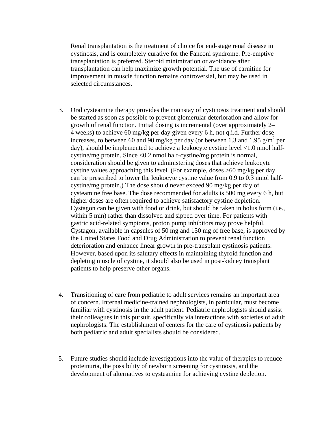Renal transplantation is the treatment of choice for end-stage renal disease in cystinosis, and is completely curative for the Fanconi syndrome. Pre-emptive transplantation is preferred. Steroid minimization or avoidance after transplantation can help maximize growth potential. The use of carnitine for improvement in muscle function remains controversial, but may be used in selected circumstances.

- 3. Oral cysteamine therapy provides the mainstay of cystinosis treatment and should be started as soon as possible to prevent glomerular deterioration and allow for growth of renal function. Initial dosing is incremental (over approximately 2– 4 weeks) to achieve 60 mg/kg per day given every 6 h, not q.i.d. Further dose increases, to between 60 and 90 mg/kg per day (or between 1.3 and 1.95  $\frac{g}{m^2}$  per day), should be implemented to achieve a leukocyte cystine level <1.0 nmol halfcystine/mg protein. Since <0.2 nmol half-cystine/mg protein is normal, consideration should be given to administering doses that achieve leukocyte cystine values approaching this level. (For example, doses >60 mg/kg per day can be prescribed to lower the leukocyte cystine value from 0.9 to 0.3 nmol halfcystine/mg protein.) The dose should never exceed 90 mg/kg per day of cysteamine free base. The dose recommended for adults is 500 mg every 6 h, but higher doses are often required to achieve satisfactory cystine depletion. Cystagon can be given with food or drink, but should be taken in bolus form (i.e., within 5 min) rather than dissolved and sipped over time. For patients with gastric acid-related symptoms, proton pump inhibitors may prove helpful. Cystagon, available in capsules of 50 mg and 150 mg of free base, is approved by the United States Food and Drug Administration to prevent renal function deterioration and enhance linear growth in pre-transplant cystinosis patients. However, based upon its salutary effects in maintaining thyroid function and depleting muscle of cystine, it should also be used in post-kidney transplant patients to help preserve other organs.
- 4. Transitioning of care from pediatric to adult services remains an important area of concern. Internal medicine-trained nephrologists, in particular, must become familiar with cystinosis in the adult patient. Pediatric nephrologists should assist their colleagues in this pursuit, specifically via interactions with societies of adult nephrologists. The establishment of centers for the care of cystinosis patients by both pediatric and adult specialists should be considered.
- 5. Future studies should include investigations into the value of therapies to reduce proteinuria, the possibility of newborn screening for cystinosis, and the development of alternatives to cysteamine for achieving cystine depletion.